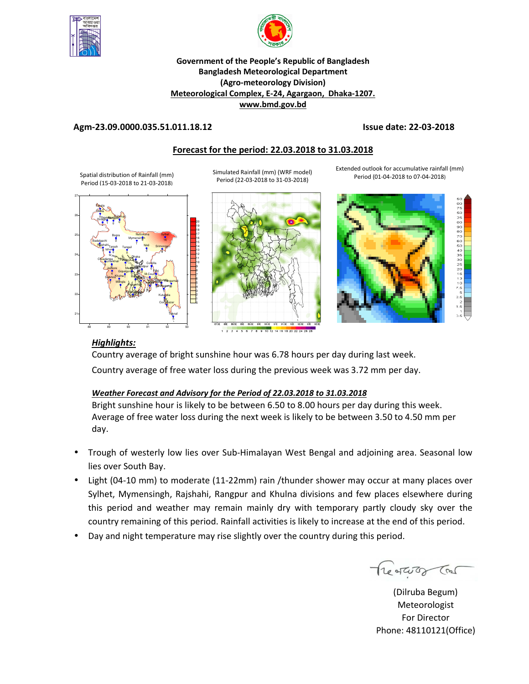



## **Government of the People's Republic of Bangladesh Bangladesh Meteorological Department (Agro-meteorology Division) Meteorological Complex, E-24, Agargaon, Dhaka-1207. www.bmd.gov.bd**

## **Agm-23.09.0000.035.51.011.18.12 Issue date: 22-03-2018**

## **Forecast for the period: 22.03.2018 to 31.03.2018**

Spatial distribution of Rainfall (mm) Period (15-03-2018 to 21-03-2018)

Simulated Rainfall (mm) (WRF model) Period (22-03-2018 to 31-03-2018)

Extended outlook for accumulative rainfall (mm) Period (01-04-2018 to 07-04-2018)







## *Highlights:*

Country average of bright sunshine hour was 6.78 hours per day during last week. Country average of free water loss during the previous week was 3.72 mm per day.

## *Weather Forecast and Advisory for the Period of 22.03.2018 to 31.03.2018*

Bright sunshine hour is likely to be between 6.50 to 8.00 hours per day during this week. Average of free water loss during the next week is likely to be between 3.50 to 4.50 mm per day.

- Trough of westerly low lies over Sub-Himalayan West Bengal and adjoining area. Seasonal low lies over South Bay.
- Light (04-10 mm) to moderate (11-22mm) rain /thunder shower may occur at many places over Sylhet, Mymensingh, Rajshahi, Rangpur and Khulna divisions and few places elsewhere during this period and weather may remain mainly dry with temporary partly cloudy sky over the country remaining of this period. Rainfall activities is likely to increase at the end of this period.
- Day and night temperature may rise slightly over the country during this period.

Treatures Car

**N.** (Dilruba Begum) Meteorologist For Director Phone: 48110121(Office)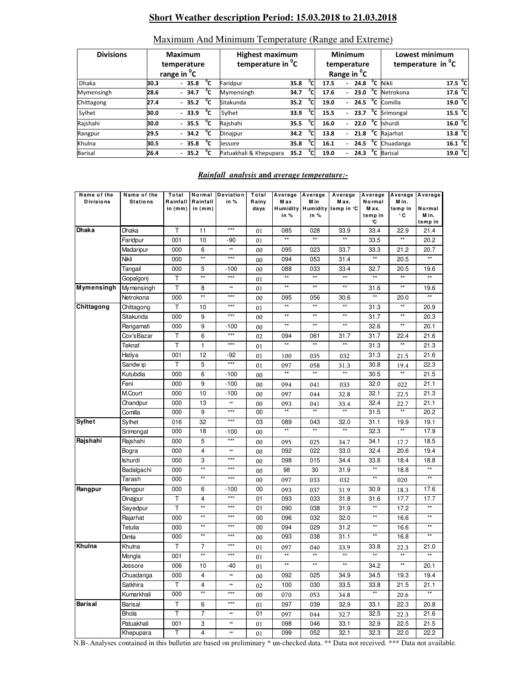# **Short Weather description Period: 15.03.2018 to 21.03.2018**

| <b>Divisions</b> |      | <b>Maximum</b><br>temperature<br>range in <sup>o</sup> C |    | <b>Highest maximum</b><br>temperature in <sup>o</sup> C | <b>Minimum</b><br>temperature<br>Range in <sup>o</sup> C |                |      |                          | Lowest minimum<br>temperature in <sup>o</sup> C |              |                          |                     |  |
|------------------|------|----------------------------------------------------------|----|---------------------------------------------------------|----------------------------------------------------------|----------------|------|--------------------------|-------------------------------------------------|--------------|--------------------------|---------------------|--|
| Dhaka            | 30.3 | $-35.8$                                                  | °c | Faridpur                                                | 35.8                                                     | °c             | 17.5 | $\overline{\phantom{0}}$ | 24.8                                            | °c           | Nikli                    | 17.5 <sup>o</sup> C |  |
| Mymensingh       | 28.6 | $-34.7$                                                  | °⊂ | Mymensingh                                              | 34.7                                                     | °cl            | 17.6 | $\overline{\phantom{0}}$ | 23.0                                            | $^{\circ}$ c | Netrokona                | 17.6 °C             |  |
| Chittagong       | 27.4 | $-35.2$                                                  | ℃  | Sitakunda                                               | 35.2                                                     | °c             | 19.0 | $\overline{\phantom{0}}$ | 24.5                                            | $^{\circ}$ c | Comilla                  | 19.0 °C             |  |
| Sylhet           | 30.0 | $-33.9$                                                  | °⊂ | Sylhet                                                  | 33.9                                                     | ິດ             | 15.5 | $\overline{\phantom{0}}$ | 23.7                                            |              | <sup>o</sup> C Srimongal | 15.5 <sup>o</sup> C |  |
| Rajshahi         | 30.0 | $-35.5$                                                  | °c | Rajshahi                                                | 35.5                                                     | °c             | 16.0 | $\overline{\phantom{0}}$ | 22.0                                            | $^{\circ}$ c | <b>Ishurdi</b>           | 16.0 °C             |  |
| Rangpur          | 29.5 | $-34.2$                                                  | °⊂ | Dinajpur                                                | 34.2                                                     | °c             | 13.8 | $\overline{a}$           | 21.8                                            | $^{\circ}$ c | Rajarhat                 | 13.8 <sup>o</sup> C |  |
| Khulna           | 30.5 | 35.8<br>$\overline{\phantom{0}}$                         | °c | Jessore                                                 | 35.8                                                     | <sup>ס</sup> י | 16.1 |                          | 24.5                                            | °c           | Chuadanga                | 16.1 °C             |  |
| <b>Barisal</b>   | 26.4 | 35.2<br>٠                                                | °⊂ | Patuakhali & Khepupara                                  | 35.2                                                     | $\overline{P}$ | 19.0 | ٠                        | 24.3                                            | °c           | <b>Barisal</b>           | 19.0 °C             |  |

# Maximum And Minimum Temperature (Range and Extreme)

### *Rainfall analysis* **and** *average temperature:-*

| Name of the<br><b>Divisions</b> | Name of the<br><b>Stations</b> | Total<br>Rainfall | Normal<br>Rainfall      | Deviation<br>in % | Total<br>Rainy | Average<br>M a x    | Average<br>M in     | Average<br>Max.              | Average<br>Normal    | M in.                | Average Average      |
|---------------------------------|--------------------------------|-------------------|-------------------------|-------------------|----------------|---------------------|---------------------|------------------------------|----------------------|----------------------|----------------------|
|                                 |                                | in $(mm)$         | in $(mm)$               |                   | days           |                     |                     | Humidity Humidity temp in °C | Max.                 | temp in              | Normal               |
|                                 |                                |                   |                         |                   |                | in %                | in %                |                              | temp in              | ۰c                   | M in.                |
| <b>Dhaka</b>                    | Dhaka                          | T                 | 11                      | $***$             |                | 085                 | 028                 | 33.9                         | ۰C<br>33.4           | 22.9                 | temp in<br>21.4      |
|                                 | Faridpur                       | 001               | 10                      | -90               | 01             | $\star\star$        | $\star\star$        | $\star\star$                 | 33.5                 | $\star\star$         | 20.2                 |
|                                 |                                |                   |                         | **                | 01             |                     |                     |                              |                      |                      |                      |
|                                 | Madaripur                      | 000               | 6<br>**                 | ***               | 00             | 095                 | 023                 | 33.7                         | 33.3<br>$\star\star$ | 21.2                 | 20.7<br>$\star\star$ |
|                                 | Nikli                          | 000               |                         |                   | 00             | 094                 | 053                 | 31.4                         |                      | 20.5                 |                      |
|                                 | Tangail                        | 000               | 5<br>$\star\star$       | $-100$<br>$***$   | 00             | 088<br>$\star\star$ | 033<br>$\star\star$ | 33.4<br>$\overline{**}$      | 32.7<br>$\star\star$ | 20.5<br>$\star\star$ | 19.6<br>$\star\star$ |
|                                 | Gopalgonj                      | T                 |                         |                   | 01             | $^{\star\star}$     | $^{\star\star}$     | $\star\star$                 |                      | $\star\star$         |                      |
| <b>Mymensingh</b>               | Mymensingh                     | T                 | 8<br>$\star\star$       | **<br>$***$       | 01             |                     |                     |                              | 31.6<br>$\star\star$ |                      | 19.6                 |
|                                 | Netrokona                      | 000               |                         | $***$             | 00             | 095                 | 056                 | 30.6                         |                      | 20.0                 |                      |
| Chittagong                      | Chittagong                     | т                 | 10                      |                   | 01             | $\star\star$        | $^{\star\star}$     | $\star\star$                 | 31.3                 | $\star\star$         | 20.9                 |
|                                 | Sitakunda                      | 000               | 9                       | $***$             | 00             | $\star\star$        | $\star\star$        | $\star\star$                 | 31.7                 | $\star\star$         | 20.3                 |
|                                 | Rangamati                      | 000               | 9                       | $-100$            | 00             | $\star\star$        | $\star\star$        | $\star\star$                 | 32.6                 | $\star\star$         | 20.1                 |
|                                 | Cox'sBazar                     | Τ                 | 6                       | $***$             | 02             | 094                 | 061                 | 31.7                         | 31.7                 | 22.4                 | 21.6                 |
|                                 | Teknaf                         | Τ                 | 1                       | $***$             | 01             | $\star\star$        | $\star\star$        | $\star\star$                 | 31.3                 | $\star\star$         | 21.3                 |
|                                 | Hatiya                         | 001               | 12                      | $-92$             | 01             | 100                 | 035                 | 032                          | 31.3                 | 21.5                 | 21.6                 |
|                                 | Sandw ip                       | T                 | 5                       | $***$             | 01             | 097                 | 058                 | 31.3                         | 30.8                 | 19.4                 | 22.3                 |
|                                 | Kutubdia                       | 000               | 6                       | $-100$            | 00             | $\star\star$        | $\star\star$        | $\star\star$                 | 30.5                 | **                   | 21.5                 |
|                                 | Feni                           | 000               | 9                       | $-100$            | 00             | 094                 | 041                 | 033                          | 32.0                 | 022                  | 21.1                 |
|                                 | M.Court                        | 000               | 10                      | $-100$            | 00             | 097                 | 044                 | 32.8                         | 32.1                 | 22.5                 | 21.3                 |
|                                 | Chandpur                       | 000               | 13                      | **                | 00             | 093                 | 041                 | 33.4                         | 32.4                 | 22.7                 | 21.1                 |
|                                 | Comilla                        | 000               | 9                       | $***$             | 00             |                     |                     |                              | 31.5                 |                      | 20.2                 |
| <b>Sylhet</b>                   | Sylhet                         | 016               | 32                      | $***$             | 03             | 089                 | 043                 | 32.0                         | 31.1                 | 19.9                 | 19.1                 |
|                                 | Srimongal                      | 000               | 18                      | $-100$            | 00             | $\star\star$        | $\star\star$        | $\star\star$                 | 32.3                 | $\star\star$         | 17.9                 |
| Rajshahi                        | Rajshahi                       | 000               | 5                       | $***$             | 00             | 095                 | 025                 | 34.7                         | 34.1                 | 17.7                 | 18.5                 |
|                                 | Bogra                          | 000               | 4                       | **                | 00             | 092                 | 022                 | 33.0                         | 32.4                 | 20.6                 | 19.4                 |
|                                 | Ishurdi                        | 000               | 3                       | $***$             | 00             | 098                 | 015                 | 34.4                         | 33.8                 | 18.4                 | 18.8                 |
|                                 | Badalgachi                     | 000               | $\star\star$            | $***$             | 00             | 98                  | 30                  | 31.9                         | $^{\star\star}$      | 18.8                 | $\overline{}$        |
|                                 | Tarash                         | 000               | $**$                    | $***$             | 00             | 097                 | 033                 | 032                          | $\star\star$         | 020                  | $**$                 |
| Rangpur                         | Rangpur                        | 000               | 6                       | $-100$            | 00             | 093                 | 037                 | 31.9                         | 30.9                 | 18.3                 | 17.6                 |
|                                 | Dinajpur                       | T                 | 4                       | $***$             | 01             | 093                 | 033                 | 31.8                         | 31.6                 | 17.7                 | 17.7                 |
|                                 | Sayedpur                       | Τ                 | $\star\star$            | $***$             | 01             | 090                 | 038                 | 31.9                         | $\star\star$         | 17.2                 | $\star\star$         |
|                                 | Rajarhat                       | 000               | $\star\star$            | $***$             | 00             | 096                 | 032                 | 32.0                         | $\star\star$         | 16.6                 | $\star\star$         |
|                                 | Tetulia                        | 000               | $\star\star$            | $***$             | 00             | 094                 | 029                 | 31.2                         | $\star\star$         | 16.6                 | $\star\star$         |
|                                 | Dimla                          | 000               | $\star\star$            | $***$             | 00             | 093                 | 038                 | 31.1                         | $\star\star$         | 16.8                 | $\star\star$         |
| Khulna                          | Khulna                         | T                 | 7                       | $***$             | 01             | 097                 | 040                 | 33.9                         | 33.8                 | 22.3                 | 21.0                 |
|                                 | Mongla                         | 001               | $\overline{**}$         | $***$             | 01             | **                  | $\star\star$        |                              | $***$                | $\star\star$         | $\star\star$         |
|                                 | Jessore                        | 006               | 10                      | $-40$             | 01             | $^{\star\star}$     | $^{\star\star}$     | $^{\star\star}$              | 34.2                 | $\star\star$         | 20.1                 |
|                                 | Chuadanga                      | 000               | 4                       | **                | 00             | 092                 | 025                 | 34.9                         | 34.5                 | 19.3                 | 19.4                 |
|                                 | Satkhira                       | т                 | $\overline{\mathbf{4}}$ | **                | 02             | 100                 | 030                 | 33.5                         | 33.8                 | 21.5                 | 21.1                 |
|                                 | Kumarkhali                     | 000               | $\star\star$            | $***$             | 00             | 070                 | 053                 | 34.8                         | $\star\star$         | 20.6                 |                      |
| <b>Barisal</b>                  | Barisal                        | Т                 | 6                       | $***$             | 01             | 097                 | 039                 | 32.9                         | 33.1                 | 22.3                 | 20.8                 |
|                                 | <b>Bhola</b>                   | T                 | $\overline{7}$          | **                | 01             | 097                 | 044                 | 32.7                         | 32.5                 | 22.3                 | 21.6                 |
|                                 | Patuakhali                     | 001               | 3                       | **                | 01             | 098                 | 046                 | 33.1                         | 32.9                 | 22.5                 | 21.5                 |
|                                 | Khepupara                      | T                 | 4                       | **                | 01             | 099                 | 052                 | 32.1                         | 32.3                 | 22.0                 | 22.2                 |
|                                 |                                |                   |                         |                   |                |                     |                     |                              |                      |                      |                      |

N.B-.Analyses contained in this bulletin are based on preliminary \* un-checked data. \*\* Data not received. \*\*\* Data not available.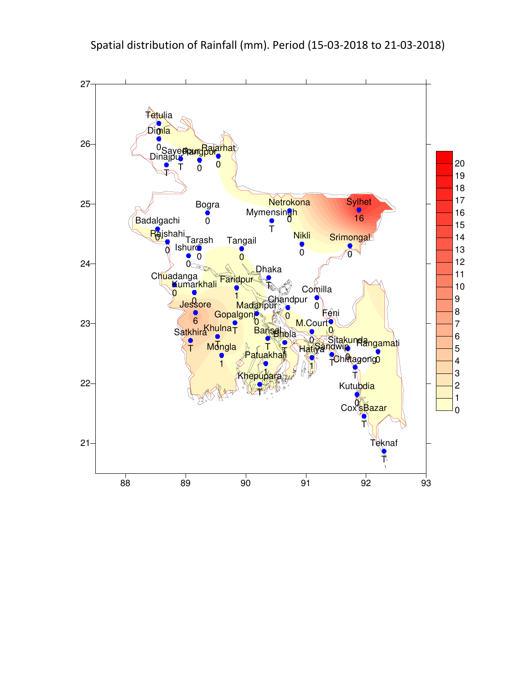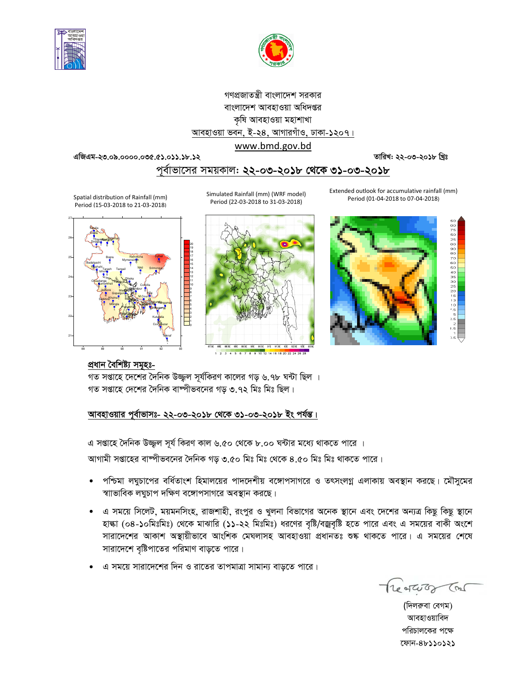![](_page_3_Picture_0.jpeg)

![](_page_3_Figure_1.jpeg)

# গণপ্রজাতন্ত্রী বাংলাদেশ সরকার বাংলাদেশ আবহাওয়া অধিদপ্তর কৃষি আবহাওয়া মহাশাখা আবহাওয়া ভবন, ই-২৪, আগারগাঁও, ঢাকা-১২০৭। www.bmd.gov.bd

50075050987600055050505555

**GwRGg-23.09.0000.035.51.011.18.12 ZvwiL: 22-03-2018 wLªt**

# পূর্বাভাসের সময়কাল: **২২-০৩-২০১৮ থেকে <u>৩১-০৩-২০১৮</u>**

Extended outlook for accumulative rainfall (mm) Period (01-04-2018 to 07-04-2018)

Simulated Rainfall (mm) (WRF model) Period (22-03-2018 to 31-03-2018)

![](_page_3_Picture_8.jpeg)

Spatial distribution of Rainfall (mm) Period (15-03-2018 to 21-03-2018)

![](_page_3_Figure_10.jpeg)

# প্ৰধান বৈশিষ্ট্য সমূহঃ-

গত সপ্তাহে দেশের দৈনিক উজ্জল সূর্যকিরণ কালের গড় ৬.৭৮ ঘন্টা ছিল । গত সপ্তাহে দেশের দৈনিক বাষ্পীভবনের গড় ৩.৭২ মিঃ মিঃ ছিল।

## আবহাওয়ার পূর্বাভাসঃ- ২২-০৩-২০**১৮ থেকে ৩১-০৩-২০১৮ ইং পর্যন্ত।**

এ সপ্তাহে দৈনিক উজ্জুল সূৰ্য কিরণ কাল ৬.৫০ থেকে ৮.০০ ঘন্টার মধ্যে থাকতে পারে ।

আগামী সপ্তাহের বাষ্পীভবনের দৈনিক গড় ৩.৫০ মিঃ মিঃ থেকে ৪.৫০ মিঃ মিঃ থাকতে পারে।

- পশ্চিমা লঘুচাপের বর্ধিতাংশ হিমালয়ের পাদদেশীয় বঙ্গোপসাগরে ও তৎসংলগ্ন এলাকায় অবস্থান করছে। মৌসুমের স্বাাভাবিক লঘুচাপ দক্ষিণ বঙ্গোপসাগরে অবস্থান করছে।
- এ সময়ে সিলেট, ময়মনসিংহ, রাজশাহী, রংপুর ও খুলনা বিভাগের অনেক স্থানে এবং দেশের অন্যত্র কিছু কিছু স্থানে হাঙ্কা (০৪-১০মিঃমিঃ) থেকে মাঝারি (১১-২২ মিঃমিঃ) ধরণের বৃষ্টি/বজ্রবৃষ্টি হতে পারে এবং এ সময়ের বাকী অংশে সারাদেশের আকাশ অস্থায়ীভাবে আংশিক মেঘলাসহ আবহাওয়া প্রধানতঃ শুষ্ক থাকতে পারে। এ সময়ের শেষে সারাদেশে বৃষ্টিপাতের পরিমাণ বাড়তে পারে।
- এ সময়ে সারাদেশের দিন ও রাতের তাপমাত্রা সামান্য বাডতে পারে।

Treatures Con

(দিলরুবা বেগম) আবহাওয়াবিদ পরিচালকের পক্ষে ‡dvb-48110121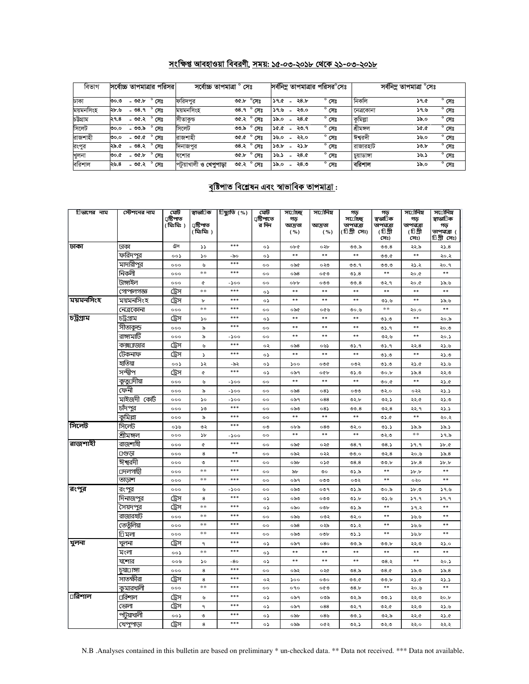# সংক্ষিপ্ত আবহাওয়া বিবরণী, সময়: ১৫-০৩-২০১৮ থেকে ২১-০৩-২০১৮

| বিভাগ     | সর্বোচ্চ তাপমাত্রার পরিসর |                | সৰ্বোচ্চ তাপমাত্ৰা     | সেঃ                    |      |                |      | সর্বনিম তাপমাত্রার পরিসর°সেঃ |            | সৰ্বনিম তাপমাত্ৰা °সেঃ |                |
|-----------|---------------------------|----------------|------------------------|------------------------|------|----------------|------|------------------------------|------------|------------------------|----------------|
| ঢাকা      | OC.b<br>৩০.৩              | সেঃ            | ফরিদপুর                | $^{\circ}$ সেঃ<br>৩৫.৮ | 39.6 | $\sim$         | 28.5 | $^{\circ}$ সেঃ               | নিকলি      | <b>59.G</b>            | $^{\circ}$ সেঃ |
| ময়মনসিংহ | - ৩৪.৭<br>২৮.৬            | সেঃ            | ময়মনসিংহ              | $^{\circ}$ সেঃ<br>08.9 | 39.6 |                | ২৩.০ | $^{\circ}$ সেঃ               | নেত্ৰকোনা  | ১৭.৬                   | $^{\circ}$ সেঃ |
| চউগ্ৰাম   | - ৩৫.২<br>२१.8            | $^{\circ}$ সেঃ | সীতাকুড                | $^{\circ}$ সেঃ<br>৩৫.২ | ১৯.০ | $\sim$         | ২৪.৫ | $^{\circ}$ সেঃ               | কুমিল্লা   | ১৯.০                   | $^{\circ}$ সেঃ |
| সিলেট     | - ৩৩.৯<br>৩০.০            | $^{\circ}$ সেঃ | সিলেট                  | $^{\circ}$ সেঃ<br>৩৩.৯ | 36.0 | $\blacksquare$ | ২৩.৭ | $^{\circ}$ সেঃ               | শ্ৰীমঙ্গল  | 50.0                   | $^{\circ}$ সেঃ |
| রাজশাহী   | - 90.0<br>৩০.০            | সেঃ            | রাজশাহী                | $^{\circ}$ সেঃ<br>9.90 | ১৬.০ |                | ২২.০ | $^{\circ}$ সেঃ               | ঈশ্বরদী    | ১৬.০                   | $^{\circ}$ সেঃ |
| রংপুর     | ২৯.৫<br>- ৩৪.২            | $^{\circ}$ সেঃ | দিনাজপুর               | $^{\circ}$ সেঃ<br>08.3 | 30.5 |                | ২১.৮ | $^{\circ}$ সেঃ               | রাজারহাট   | 50.5                   | $^{\circ}$ সেঃ |
| খুলনা     | $-96.6$<br>৩০.৫           | সেঃ            | যশোর                   | $^{\circ}$ সেঃ<br>৩৫.৮ | ১৬.১ |                | ২৪.৫ | $^{\circ}$ সেঃ               | চয়াডাঙ্গা | ১৬.১                   | $^{\circ}$ সেঃ |
| বরিশাল    | ২৬.৪<br>- ৩৫.২            | $^{\circ}$ সেঃ | পটুয়াখালী ও খেপুপাড়া | ৩৫.২<br>সেঃ            | ১৯.০ |                | ২৪.৩ | $^{\circ}$ সেঃ               | বরিশাল     | ১৯.০                   | $^{\circ}$ সেঃ |

# <u>বৃষ্টিপাত বিশ্লেষন এবং স্বাভাবিক তাপমাত্ৰা :</u>

| িভাগের নাম | স্টেশনের নাম      | মেট                    | স্বাভা∏ক    | িছ্যুতি (%) | মেট                 | স⊡াচ্ছ        | স⊡সিম       | গড়                 | গড়                   | সর্তোনিম্ন            | স∪োনিম          |
|------------|-------------------|------------------------|-------------|-------------|---------------------|---------------|-------------|---------------------|-----------------------|-----------------------|-----------------|
|            |                   | ⊔ষ্টিপাত<br>( ঃমিঃমি ) | ঢ়াষ্টিপাত  |             | ্রষ্টিপাতে<br>র দিন | গড়<br>আদ্ৰতা | আদ্ৰতা      | স⊔োচ্ছ<br>তাপমাত্রা | স্বভা⊡িক<br>তাপমাত্রা | গড়<br>তাপমাত্রা      | স্বাভা∏ক<br>গড় |
|            |                   |                        | ( গ্লিঃমিঃ) |             |                     | ( %)          | ( %)        | (টিগ্রীসেঃ)         | (টিগ্রী               | (চিগ্রী               | তাপমাত্রা (     |
|            |                   |                        |             |             |                     |               |             |                     | সেঃ)                  | সেঃ)                  | চিগ্ৰীসেঃ)      |
| ঢাকা       | ঢাকা              | ট্রস                   | SS.         | ***         | ০১                  | ob¢           | ০২৮         | ৩৩.৯                | 00.8                  | ২২.৯                  | ২১.৪            |
|            | ফরিদপুর           | ০০১                    | ১০          | -৯০         | ০১                  | $**$          | $**$        | **                  | ৩৩.৫                  | $* *$                 | ২০.২            |
|            | মাদারীপুর         | 000                    | ৬           | ***         | $^{\circ}$          | ০৯৫           | ০২৩         | ৩৩.৭                | ৩৩.৩                  | ২১.২                  | २०.१            |
|            | নিকলী             | 000                    | $**$        | ***         | $^{\circ}$          | ০৯৪           | ০৫৩         | 05.8                | $* *$                 | ২০.৫                  | $**$            |
|            | টাঙ্গাইল          | 000                    | ¢           | -১০০        | 00                  | obb           | ೲ           | 00.8                | ৩২.৭                  | ২০.৫                  | ১৯.৬            |
|            | গোপালগজ্ঞ         | ট্রেস                  | $**$        | ***         | ০১                  | $**$          | $**$        | $* *$               | $* *$                 | $* *$                 | $**$            |
| ময়মনসিংহ  | ময়মনসিংহ         | ট্রেস                  | b           | ***         | ০১                  | $* *$         | $**$        | $\ast\ast$          | 0.6                   | $* *$                 | 38.6            |
|            | নেত্রকোনা         | 000                    | $**$        | ***         | $^{\circ}$          | ০৯৫           | ০৫৬         | ৩০.৬                | $**$                  | ২০.০                  |                 |
| চট্টগ্ৰাম  | চট্ৰগ্ৰাম         | ট্রেস                  | ১০          | ***         | ০১                  | $\ast\ast$    | $\ast\ast$  | $* *$               | 0.5                   | **                    | ২০.৯            |
|            | সীতাকুন্ড         | 000                    | ৯           | ***         | $\circ$             | $* *$         | $**$        | $* *$               | ৩১.৭                  | **                    | ২০.৩            |
|            | রাঙ্গামার্টি      | 000                    | ৯           | -১০০        | $\circ$             | $**$          | $**$        | $* *$               | ৩২.৬                  | $* *$                 | ২০.১            |
|            | কক্স⊔াজার         | ট্রেস                  | ৬           | ***         | ০২                  | ০৯৪           | ০৬১         | ৩১.৭                | ৩১.৭                  | ২২.৪                  | ২১.৬            |
|            | টেকনাফ            | ট্রেস                  | $\Delta$    | ***         | ০১                  | $**$          | $* *$       | $* *$               | ৩১.৩                  | $* *$                 | ২১.৩            |
|            | হাতিয়া           | ००১                    | ১২          | -৯২         | ০১                  | 500           | ০৩৫         | ০৩২                 | 0.0                   | 23.4                  | ২১.৬            |
|            | সন্দ্বীপ          | ট্রেস                  | ¢           | ***         | ০১                  | ০৯৭           | O           | ৩১.৩                | 00.b                  | ১৯.৪                  | ২২.৩            |
|            | কুতু্⊔দীয়া       | 000                    | ৬           | $-500$      | $\circ$             | $**$          | $**$        | **                  | 0.00                  | **                    | 23.6            |
|            | ফেনী              | 000                    | ৯           | $-500$      | $\circ$             | $\circ$ ৯৪    | $08\lambda$ | ০৩৩                 | ৩২.০                  | ০২২                   | 23.3            |
|            | মাইজদী কোঁট       | 000                    | ১০          | $-500$      | $^{\circ}$          | ০৯৭           | 088         | ৩২.৮                | ৩২.১                  | ২২.৫                  | ২১.৩            |
|            | চাঁদপুর           | 000                    | ১৩          | ***         | $^{\circ}$          | ০৯৩           | $08\lambda$ | 00.8                | 02.8                  | ২২.৭                  | ২১.১            |
|            | কুমিল্লা          | 000                    | ৯           | ***         | $\circ$             | $* *$         | $**$        | $* *$               | 0.6                   | $* *$                 | ২০.২            |
| সিলেট      | সিলেট             | ০১৬                    | ৩২          | ***         | ০৩                  | ০৮৯           | 080         | ৩২.০                | ৩১.১                  | ১৯.৯                  | ১৯.১            |
|            | শ্ৰীমঙ্গ <u>ল</u> | 000                    | b           | -১০০        | $^{\circ}$          | **            | $* *$       | $* *$               | ৩২.৩                  | $**$                  | 39.5            |
| রাজশাহী    | রাজশাহী           | 000                    | ¢           | ***         | 00                  | ০৯৫           | ०२৫         | 08.9                | 08.5                  | 9.9                   | 3b.6            |
|            | ⊔গুড়া            | 000                    | 8           | $**$        | $^{\circ}$          | ০৯২           | ০২২         | ৩৩.০                | ৩২. $8$               | ২০.৬                  | ১৯. $8$         |
|            | ঈশ্বরদী           | 000                    | ৩           | ***         | 00                  | ০৯৮           | ০১৫         | 08.8                | ৩৩.৮                  | 5b.8                  | 5b.5            |
|            | ⊡দলগাছী           | 000                    | **          | ***         | $^{\circ}$          | ৯৮            | ৩০          | ৩১.৯                | $* *$                 | $\delta b$ . $\delta$ |                 |
|            | তাডাশ             | 000                    | $**$        | ***         | $^{\circ}$          | ০৯৭           | ೲ           | ০৩২                 | $* *$                 | ०२०                   | $* *$           |
| রংপুর      | রংপুর             | 000                    | ৬           | -১০০        | $^{\circ}$          | ০৯৩           | ०७१         | ৩১.৯                | ৩০.৯                  | 5b.9                  | 39.6            |
|            | দিনাজপুর          | ট্রেস                  | 8           | ***         | ০১                  | ০৯৩           | ೲ           | 0.5                 | 0.6                   | 39.9                  | 9.9             |
|            | সৈয়দপুর          | ট্রেস                  | **          | ***         | ০১                  | ০৯০           | ০৩৮         | ৩১.৯                | $* *$                 | 39.2                  | $**$            |
|            | রাজারহাট          | 000                    | **          | ***         | $\circ$             | ০৯৬           | ০৩২         | ৩২.০                | $* *$                 | 55.5                  | $* *$           |
|            | তেতুঁলিয়া        | 000                    | **          | ***         | 00                  | $\circ$ ನಿ8   | ০২৯         | ৩১.২                | $**$                  | 39.9                  | $**$            |
|            | াি মলা            | 000                    | **          | ***         | $^{\circ}$          | ০৯৩           | ০৩৮         | 05.5                | $**$                  | ১৬.৮                  | $**$            |
| খুলনা      | খুলনা             | ট্রেস                  | ٩           | ***         | ০১                  | ०৯१           | 080         | ৩৩.৯                | ৩৩.৮                  | ২২.৩                  | ২১.০            |
|            | মংলা              | ००১                    | **          | ***         | ০১                  | **            | $**$        | $* *$               | $* *$                 | $* *$                 | **              |
|            | যশোর              | ০০৬                    | ১০          | -80         | ০১                  | $* *$         | $**$        | $* *$               | ৩৪.২                  | $* *$                 | ২০.১            |
|            | চয়া⊡াঙ্গা        | 000                    | 8           | ***         | $\circ$             | ০৯২           | ०२৫         | ల8.৯                | 08.0                  | ১৯.৩                  | 55.8            |
|            | সাতক্ষীরা         | ট্রেস                  | 8           | ***         | ০২                  | 500           | ०७०         | ৩৩.৫                | ৩৩.৮                  | ২১.৫                  | ২১.১            |
|            | কমারখালী          | 000                    | $**$        | ***         | $^{\circ}$          | ०१०           | ০৫৩         | 08.b                | $* *$                 | ২০.৬                  | $**$            |
| ⊔রিশাল     | ⊔রিশাল            | ট্রেস                  | ৬           | ***         | ০১                  | ০৯৭           | ০৩৯         | ৩২.৯                | ৩৩.১                  | ২২.৩                  | ২০.৮            |
|            | ভোলা              | ট্রেস                  | ٩           | ***         | ০১                  | ০৯৭           | 088         | ৩২.৭                | ৩২.৫                  | ২২.৩                  | ২১.৬            |
|            | পটয়াখালী         | ০০১                    | ৩           | ***         | ০১                  | ০৯৮           | 08          | ৩৩.১                | ৩২.৯                  | ২২.৫                  | ২১.৫            |
|            | খেপপাডা           | ট্রেস                  | 8           | ***         | ০১                  | ০৯৯           | ০৫২         | ৩২.১                | ৩২.৩                  | ২২.০                  | ২২.২            |

N.B .Analyses contained in this bulletin are based on preliminary \* un-checked data. \*\* Data not received. \*\*\* Data not available.